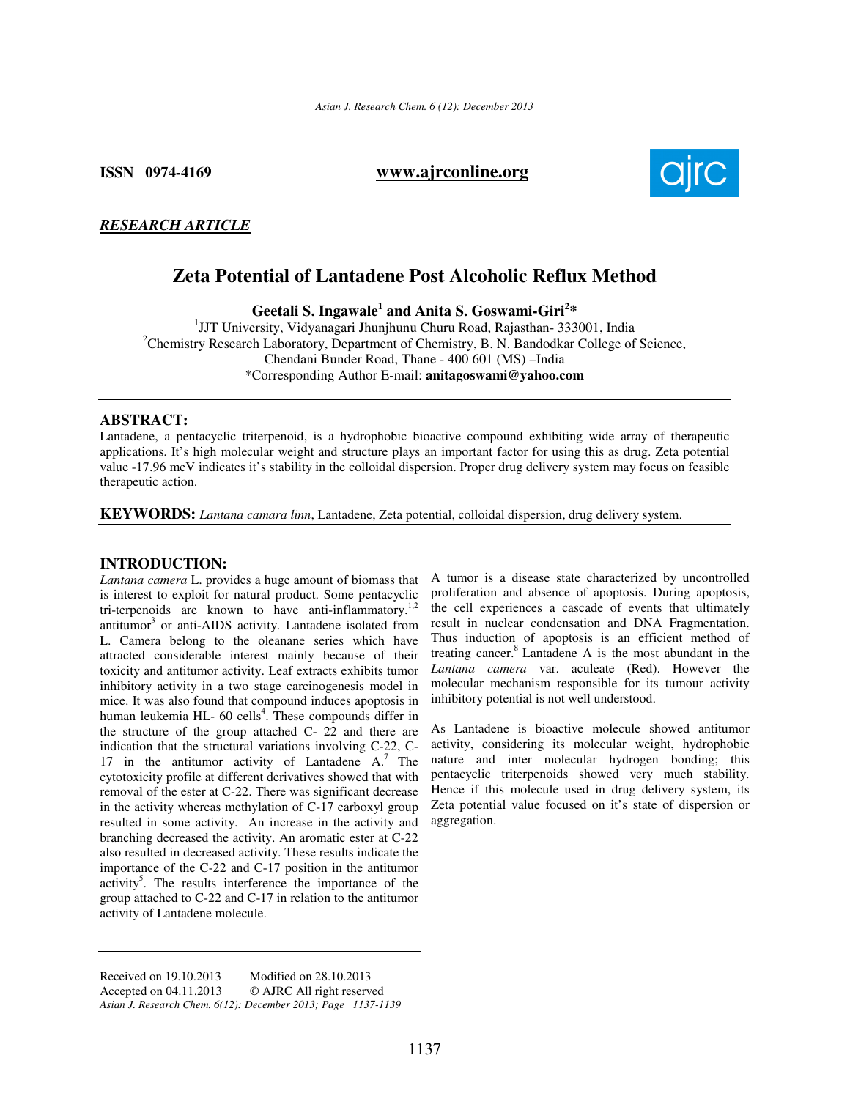**ISSN 0974-4169****www.ajrconline.org**



# *RESEARCH ARTICLE*

# **Zeta Potential of Lantadene Post Alcoholic Reflux Method**

**Geetali S. Ingawale<sup>1</sup> and Anita S. Goswami-Giri<sup>2</sup> \*** 

1 JJT University, Vidyanagari Jhunjhunu Churu Road, Rajasthan- 333001, India <sup>2</sup>Chemistry Research Laboratory, Department of Chemistry, B. N. Bandodkar College of Science, Chendani Bunder Road, Thane - 400 601 (MS) –India \*Corresponding Author E-mail: **anitagoswami@yahoo.com**

# **ABSTRACT:**

Lantadene, a pentacyclic triterpenoid, is a hydrophobic bioactive compound exhibiting wide array of therapeutic applications. It's high molecular weight and structure plays an important factor for using this as drug. Zeta potential value -17.96 meV indicates it's stability in the colloidal dispersion. Proper drug delivery system may focus on feasible therapeutic action.

**KEYWORDS:** *Lantana camara linn*, Lantadene, Zeta potential, colloidal dispersion, drug delivery system.

#### **INTRODUCTION:**

*Lantana camera* L. provides a huge amount of biomass that is interest to exploit for natural product. Some pentacyclic tri-terpenoids are known to have anti-inflammatory.<sup>1,2</sup> antitumor<sup>3</sup> or anti-AIDS activity. Lantadene isolated from L. Camera belong to the oleanane series which have attracted considerable interest mainly because of their toxicity and antitumor activity. Leaf extracts exhibits tumor inhibitory activity in a two stage carcinogenesis model in mice. It was also found that compound induces apoptosis in human leukemia HL- 60 cells<sup>4</sup>. These compounds differ in the structure of the group attached  $C- 22$  and there are indication that the structural variations involving C-22, C-17 in the antitumor activity of Lantadene  $A$ .<sup>7</sup> The cytotoxicity profile at different derivatives showed that with removal of the ester at C-22. There was significant decrease in the activity whereas methylation of C-17 carboxyl group resulted in some activity. An increase in the activity and branching decreased the activity. An aromatic ester at C-22 also resulted in decreased activity. These results indicate the importance of the C-22 and C-17 position in the antitumor activity<sup>5</sup>. The results interference the importance of the group attached to C-22 and C-17 in relation to the antitumor activity of Lantadene molecule.

Received on 19.10.2013 Modified on 28.10.2013<br>Accepted on 04.11.2013 © AJRC All right reserve © AJRC All right reserved *Asian J. Research Chem. 6(12): December 2013; Page 1137-1139* A tumor is a disease state characterized by uncontrolled proliferation and absence of apoptosis. During apoptosis, the cell experiences a cascade of events that ultimately result in nuclear condensation and DNA Fragmentation. Thus induction of apoptosis is an efficient method of treating cancer.<sup>8</sup> Lantadene A is the most abundant in the *Lantana camera* var. aculeate (Red). However the molecular mechanism responsible for its tumour activity inhibitory potential is not well understood.

As Lantadene is bioactive molecule showed antitumor activity, considering its molecular weight, hydrophobic nature and inter molecular hydrogen bonding; this pentacyclic triterpenoids showed very much stability. Hence if this molecule used in drug delivery system, its Zeta potential value focused on it's state of dispersion or aggregation.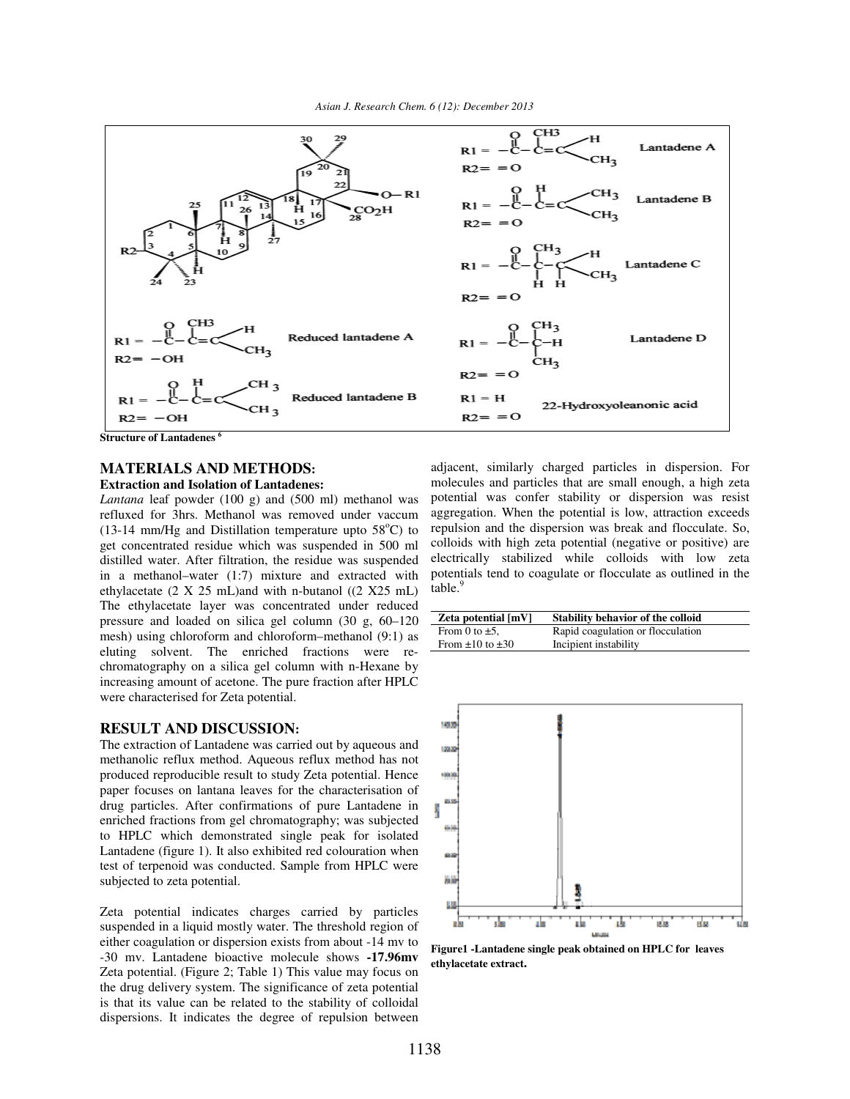

**Structure of Lantadenes <sup>6</sup>**

### **MATERIALS AND METHODS:**

#### **Extraction and Isolation of Lantadenes:**

*Lantana* leaf powder (100 g) and (500 ml) methanol was refluxed for 3hrs. Methanol was removed under vaccum (13-14 mm/Hg and Distillation temperature upto  $58^{\circ}$ C) to get concentrated residue which was suspended in 500 ml distilled water. After filtration, the residue was suspended in a methanol–water (1:7) mixture and extracted with ethylacetate (2 X 25 mL)and with n-butanol ((2 X25 mL) The ethylacetate layer was concentrated under reduced pressure and loaded on silica gel column (30 g, 60–120 mesh) using chloroform and chloroform–methanol (9:1) as eluting solvent. The enriched fractions were rechromatography on a silica gel column with n-Hexane by increasing amount of acetone. The pure fraction after HPLC were characterised for Zeta potential.

#### **RESULT AND DISCUSSION:**

The extraction of Lantadene was carried out by aqueous and methanolic reflux method. Aqueous reflux method has not produced reproducible result to study Zeta potential. Hence paper focuses on lantana leaves for the characterisation of drug particles. After confirmations of pure Lantadene in enriched fractions from gel chromatography; was subjected to HPLC which demonstrated single peak for isolated Lantadene (figure 1). It also exhibited red colouration when test of terpenoid was conducted. Sample from HPLC were subjected to zeta potential.

Zeta potential indicates charges carried by particles suspended in a liquid mostly water. The threshold region of either coagulation or dispersion exists from about -14 mv to -30 mv. Lantadene bioactive molecule shows **-17.96mv** Zeta potential. (Figure 2; Table 1) This value may focus on the drug delivery system. The significance of zeta potential is that its value can be related to the stability of colloidal dispersions. It indicates the degree of repulsion between adjacent, similarly charged particles in dispersion. For molecules and particles that are small enough, a high zeta potential was confer stability or dispersion was resist aggregation. When the potential is low, attraction exceeds repulsion and the dispersion was break and flocculate. So, colloids with high zeta potential (negative or positive) are electrically stabilized while colloids with low zeta potentials tend to coagulate or flocculate as outlined in the table.<sup>9</sup>

| Zeta potential [mV]       | Stability behavior of the colloid |
|---------------------------|-----------------------------------|
| From 0 to $\pm$ 5.        | Rapid coagulation or flocculation |
| From $\pm 10$ to $\pm 30$ | Incipient instability             |
|                           |                                   |



**Figure1 -Lantadene single peak obtained on HPLC for leaves ethylacetate extract.**